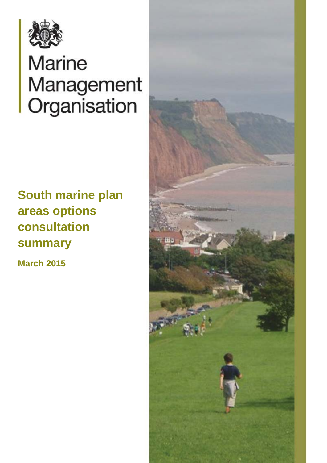

# **Marine** Management<br>Organisation

# **South marine plan areas options consultation summary**

**March 2015** 

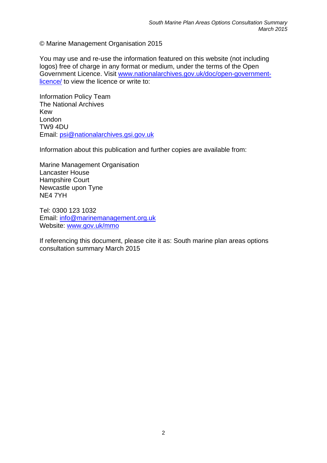© Marine Management Organisation 2015

You may use and re-use the information featured on this website (not including logos) free of charge in any format or medium, under the terms of the Open Government Licence. Visit www.nationalarchives.gov.uk/doc/open-governmentlicence/ to view the licence or write to:

Information Policy Team The National Archives Kew London TW9 4DU Email: psi@nationalarchives.gsi.gov.uk

Information about this publication and further copies are available from:

Marine Management Organisation Lancaster House Hampshire Court Newcastle upon Tyne NE4 7YH

Website: www.gov.uk/mmo Tel: 0300 123 1032 Email: info@marinemanagement.org.uk

If referencing this document, please cite it as: South marine plan areas options consultation summary March 2015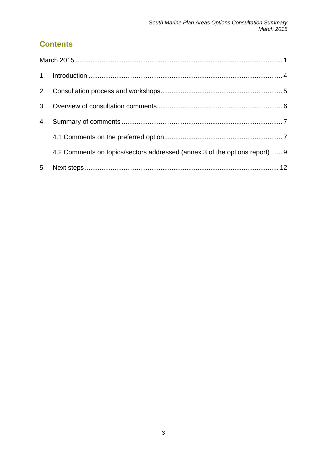# **Contents**

| 3 <sub>1</sub> |                                                                             |  |
|----------------|-----------------------------------------------------------------------------|--|
| 4.             |                                                                             |  |
|                |                                                                             |  |
|                | 4.2 Comments on topics/sectors addressed (annex 3 of the options report)  9 |  |
| 5 <sub>1</sub> |                                                                             |  |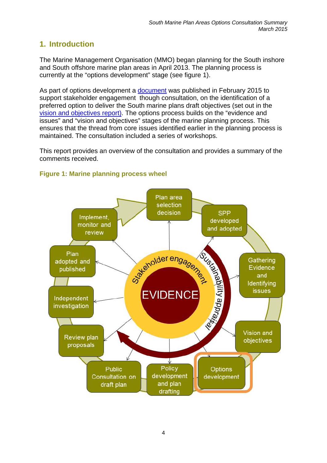# <span id="page-3-0"></span>**1. Introduction**

The Marine Management Organisation (MMO) began planning for the South inshore and South offshore marine plan areas in April 2013. The planning process is currently at the "options development" stage (see figure 1).

As part of options development a document was published in February 2015 to support stakeholder engagement though consultation, on the identification of a preferred option to deliver the South marine plans draft objectives (set out in the vision and objectives report). The options process builds on the "evidence and issues" and "vision and objectives" stages of the marine planning process. This ensures that the thread from core issues identified earlier in the planning process is maintained. The consultation included a series of workshops.

This report provides an overview of the consultation and provides a summary of the comments received.



#### **Figure 1: Marine planning process wheel**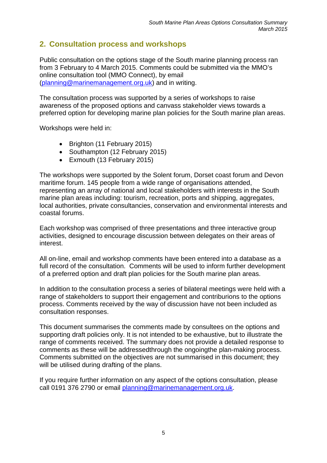# <span id="page-4-0"></span>**2. Consultation process and workshops**

Public consultation on the options stage of the South marine planning process ran from 3 February to 4 March 2015. Comments could be submitted via the MMO's online consultation tool (MMO Connect), by email (planning@marinemanagement.org.uk) and in writing.

The consultation process was supported by a series of workshops to raise awareness of the proposed options and canvass stakeholder views towards a preferred option for developing marine plan policies for the South marine plan areas.

Workshops were held in:

- Brighton (11 February 2015)
- Southampton (12 February 2015)
- Exmouth (13 February 2015)

The workshops were supported by the Solent forum, Dorset coast forum and Devon maritime forum. 145 people from a wide range of organisations attended, representing an array of national and local stakeholders with interests in the South marine plan areas including: tourism, recreation, ports and shipping, aggregates, local authorities, private consultancies, conservation and environmental interests and coastal forums.

Each workshop was comprised of three presentations and three interactive group activities, designed to encourage discussion between delegates on their areas of interest.

All on-line, email and workshop comments have been entered into a database as a full record of the consultation. Comments will be used to inform further development of a preferred option and draft plan policies for the South marine plan areas.

In addition to the consultation process a series of bilateral meetings were held with a range of stakeholders to support their engagement and contriburions to the options process. Comments received by the way of discussion have not been included as consultation responses.

This document summarises the comments made by consultees on the options and supporting draft policies only. It is not intended to be exhaustive, but to illustrate the range of comments received. The summary does not provide a detailed response to comments as these will be addressedthrough the ongoingthe plan-making process. Comments submitted on the objectives are not summarised in this document; they will be utilised during drafting of the plans.

If you require further information on any aspect of the options consultation, please call 0191 376 2790 or email planning@marinemanagement.org.uk.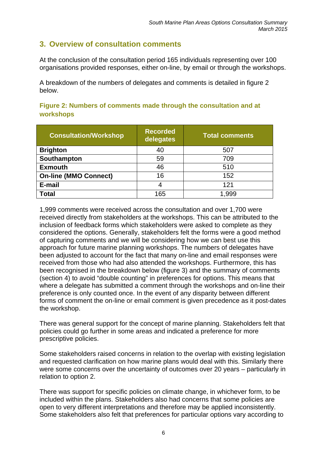## **3. Overview of consultation comments**

At the conclusion of the consultation period 165 individuals representing over 100 organisations provided responses, either on-line, by email or through the workshops.

A breakdown of the numbers of delegates and comments is detailed in figure 2 below.

| Figure 2: Numbers of comments made through the consultation and at |  |  |  |
|--------------------------------------------------------------------|--|--|--|
| <b>workshops</b>                                                   |  |  |  |

| <b>Consultation/Workshop</b> | <b>Recorded</b><br>delegates | <b>Total comments</b> |
|------------------------------|------------------------------|-----------------------|
| <b>Brighton</b>              | 40                           | 507                   |
| Southampton                  | 59                           | 709                   |
| <b>Exmouth</b>               | 46                           | 510                   |
| <b>On-line (MMO Connect)</b> | 16                           | 152                   |
| E-mail                       | 4                            | 121                   |
| <b>Total</b>                 | 165                          | .999                  |

1,999 comments were received across the consultation and over 1,700 were received directly from stakeholders at the workshops. This can be attributed to the inclusion of feedback forms which stakeholders were asked to complete as they considered the options. Generally, stakeholders felt the forms were a good method of capturing comments and we will be considering how we can best use this approach for future marine planning workshops. The numbers of delegates have been adjusted to account for the fact that many on-line and email responses were received from those who had also attended the workshops. Furthermore, this has been recognised in the breakdown below (figure 3) and the summary of comments (section 4) to avoid "double counting" in preferences for options. This means that where a delegate has submitted a comment through the workshops and on-line their preference is only counted once. In the event of any disparity between different forms of comment the on-line or email comment is given precedence as it post-dates the workshop.

There was general support for the concept of marine planning. Stakeholders felt that policies could go further in some areas and indicated a preference for more prescriptive policies.

Some stakeholders raised concerns in relation to the overlap with existing legislation and requested clarification on how marine plans would deal with this. Similarly there were some concerns over the uncertainty of outcomes over 20 years – particularly in relation to option 2.

There was support for specific policies on climate change, in whichever form, to be included within the plans. Stakeholders also had concerns that some policies are open to very different interpretations and therefore may be applied inconsistently. Some stakeholders also felt that preferences for particular options vary according to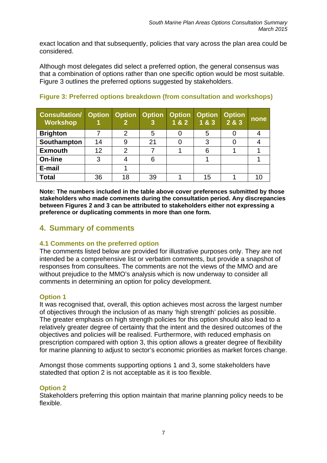exact location and that subsequently, policies that vary across the plan area could be considered.

Although most delegates did select a preferred option, the general consensus was that a combination of options rather than one specific option would be most suitable. Figure 3 outlines the preferred options suggested by stakeholders.

| <b>Consultation/ Option Option Option</b><br><b>Workshop</b> |    | 2              |    | <b>Option</b><br>1 & 2 | <b>Option</b><br>183 | <b>Option</b><br>2 & 3 | none |
|--------------------------------------------------------------|----|----------------|----|------------------------|----------------------|------------------------|------|
| <b>Brighton</b>                                              |    | $\overline{2}$ |    |                        | 5                    |                        |      |
| Southampton                                                  | 14 | 9              | 21 |                        | 3                    |                        |      |
| <b>Exmouth</b>                                               | 12 | 2              |    |                        | 6                    |                        |      |
| <b>On-line</b>                                               | 3  |                | 6  |                        |                      |                        |      |
| E-mail                                                       |    |                |    |                        |                      |                        |      |
| <b>Total</b>                                                 | 36 | 18             | 39 |                        | 15                   |                        |      |

#### **Figure 3: Preferred options breakdown (from consultation and workshops)**

**Note: The numbers included in the table above cover preferences submitted by those stakeholders who made comments during the consultation period. Any discrepancies between Figures 2 and 3 can be attributed to stakeholders either not expressing a preference or duplicating comments in more than one form.** 

#### **4. Summary of comments**

#### **4.1 Comments on the preferred option**

The comments listed below are provided for illustrative purposes only. They are not intended be a comprehensive list or verbatim comments, but provide a snapshot of responses from consultees. The comments are not the views of the MMO and are without prejudice to the MMO's analysis which is now underway to consider all comments in determining an option for policy development.

#### **Option 1**

It was recognised that, overall, this option achieves most across the largest number of objectives through the inclusion of as many 'high strength' policies as possible. The greater emphasis on high strength policies for this option should also lead to a relatively greater degree of certainty that the intent and the desired outcomes of the objectives and policies will be realised. Furthermore, with reduced emphasis on prescription compared with option 3, this option allows a greater degree of flexibility for marine planning to adjust to sector's economic priorities as market forces change.

Amongst those comments supporting options 1 and 3, some stakeholders have statedted that option 2 is not acceptable as it is too flexible.

#### **Option 2**

Stakeholders preferring this option maintain that marine planning policy needs to be flexible.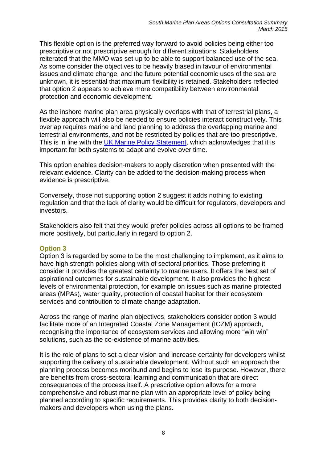This flexible option is the preferred way forward to avoid policies being either too prescriptive or not prescriptive enough for different situations. Stakeholders reiterated that the MMO was set up to be able to support balanced use of the sea. As some consider the objectives to be heavily biased in favour of environmental issues and climate change, and the future potential economic uses of the sea are unknown, it is essential that maximum flexibility is retained. Stakeholders reflected that option 2 appears to achieve more compatibility between environmental protection and economic development.

As the inshore marine plan area physically overlaps with that of terrestrial plans, a flexible approach will also be needed to ensure policies interact constructively. This overlap requires marine and land planning to address the overlapping marine and terrestrial environments, and not be restricted by policies that are too prescriptive. This is in line with the UK Marine Policy Statement, which acknowledges that it is important for both systems to adapt and evolve over time.

This option enables decision-makers to apply discretion when presented with the relevant evidence. Clarity can be added to the decision-making process when evidence is prescriptive.

Conversely, those not supporting option 2 suggest it adds nothing to existing regulation and that the lack of clarity would be difficult for regulators, developers and investors.

Stakeholders also felt that they would prefer policies across all options to be framed more positively, but particularly in regard to option 2.

#### **Option 3**

Option 3 is regarded by some to be the most challenging to implement, as it aims to have high strength policies along with of sectoral priorities. Those preferring it consider it provides the greatest certainty to marine users. It offers the best set of aspirational outcomes for sustainable development. It also provides the highest levels of environmental protection, for example on issues such as marine protected areas (MPAs), water quality, protection of coastal habitat for their ecosystem services and contribution to climate change adaptation.

Across the range of marine plan objectives, stakeholders consider option 3 would facilitate more of an Integrated Coastal Zone Management (ICZM) approach, recognising the importance of ecosystem services and allowing more "win win" solutions, such as the co-existence of marine activities.

It is the role of plans to set a clear vision and increase certainty for developers whilst supporting the delivery of sustainable development. Without such an approach the planning process becomes moribund and begins to lose its purpose. However, there are benefits from cross-sectoral learning and communication that are direct consequences of the process itself. A prescriptive option allows for a more comprehensive and robust marine plan with an appropriate level of policy being planned according to specific requirements. This provides clarity to both decisionmakers and developers when using the plans.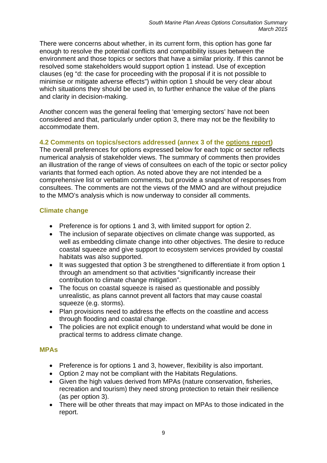<span id="page-8-0"></span>There were concerns about whether, in its current form, this option has gone far enough to resolve the potential conflicts and compatibility issues between the environment and those topics or sectors that have a similar priority. If this cannot be resolved some stakeholders would support option 1 instead. Use of exception clauses (eg "d: the case for proceeding with the proposal if it is not possible to minimise or mitigate adverse effects") within option 1 should be very clear about which situations they should be used in, to further enhance the value of the plans and clarity in decision-making.

Another concern was the general feeling that 'emerging sectors' have not been considered and that, particularly under option 3, there may not be the flexibility to accommodate them.

#### **4.2 Comments on topics/sectors addressed (annex 3 of the options report)**

The overall preferences for options expressed below for each topic or sector reflects numerical analysis of stakeholder views. The summary of comments then provides an illustration of the range of views of consultees on each of the topic or sector policy variants that formed each option. As noted above they are not intended be a comprehensive list or verbatim comments, but provide a snapshot of responses from consultees. The comments are not the views of the MMO and are without prejudice to the MMO's analysis which is now underway to consider all comments.

#### **Climate change**

- Preference is for options 1 and 3, with limited support for option 2.
- The inclusion of separate objectives on climate change was supported, as well as embedding climate change into other objectives. The desire to reduce coastal squeeze and give support to ecosystem services provided by coastal habitats was also supported.
- It was suggested that option 3 be strengthened to differentiate it from option 1 through an amendment so that activities "significantly increase their contribution to climate change mitigation".
- The focus on coastal squeeze is raised as questionable and possibly unrealistic, as plans cannot prevent all factors that may cause coastal squeeze (e.g. storms).
- Plan provisions need to address the effects on the coastline and access through flooding and coastal change.
- The policies are not explicit enough to understand what would be done in practical terms to address climate change.

#### **MPAs**

- Preference is for options 1 and 3, however, flexibility is also important.
- Option 2 may not be compliant with the Habitats Regulations.
- Given the high values derived from MPAs (nature conservation, fisheries, recreation and tourism) they need strong protection to retain their resilience (as per option 3).
- There will be other threats that may impact on MPAs to those indicated in the report.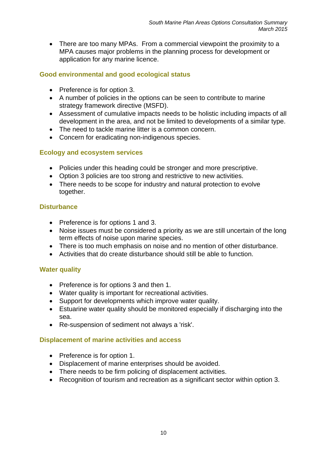• There are too many MPAs. From a commercial viewpoint the proximity to a MPA causes major problems in the planning process for development or application for any marine licence.

#### **Good environmental and good ecological status**

- Preference is for option 3.
- A number of policies in the options can be seen to contribute to marine strategy framework directive (MSFD).
- Assessment of cumulative impacts needs to be holistic including impacts of all development in the area, and not be limited to developments of a similar type.
- The need to tackle marine litter is a common concern.
- Concern for eradicating non-indigenous species.

#### **Ecology and ecosystem services**

- Policies under this heading could be stronger and more prescriptive.
- Option 3 policies are too strong and restrictive to new activities.
- There needs to be scope for industry and natural protection to evolve together.

#### **Disturbance**

- Preference is for options 1 and 3.
- Noise issues must be considered a priority as we are still uncertain of the long term effects of noise upon marine species.
- There is too much emphasis on noise and no mention of other disturbance.
- Activities that do create disturbance should still be able to function.

#### **Water quality**

- Preference is for options 3 and then 1.
- Water quality is important for recreational activities.
- Support for developments which improve water quality.
- Estuarine water quality should be monitored especially if discharging into the sea.
- Re-suspension of sediment not always a 'risk'.

#### **Displacement of marine activities and access**

- Preference is for option 1.
- Displacement of marine enterprises should be avoided.
- There needs to be firm policing of displacement activities.
- Recognition of tourism and recreation as a significant sector within option 3.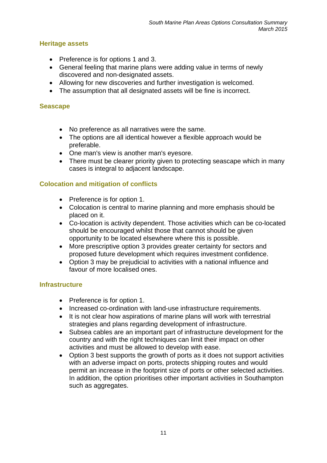#### **Heritage assets**

- Preference is for options 1 and 3.
- General feeling that marine plans were adding value in terms of newly discovered and non-designated assets.
- Allowing for new discoveries and further investigation is welcomed.
- The assumption that all designated assets will be fine is incorrect.

#### **Seascape**

- No preference as all narratives were the same.
- The options are all identical however a flexible approach would be preferable.
- One man's view is another man's eyesore.
- There must be clearer priority given to protecting seascape which in many cases is integral to adjacent landscape.

#### **Colocation and mitigation of conflicts**

- Preference is for option 1.
- Colocation is central to marine planning and more emphasis should be placed on it.
- Co-location is activity dependent. Those activities which can be co-located should be encouraged whilst those that cannot should be given opportunity to be located elsewhere where this is possible.
- More prescriptive option 3 provides greater certainty for sectors and proposed future development which requires investment confidence.
- Option 3 may be prejudicial to activities with a national influence and favour of more localised ones.

#### **Infrastructure**

- Preference is for option 1.
- Increased co-ordination with land-use infrastructure requirements.
- It is not clear how aspirations of marine plans will work with terrestrial strategies and plans regarding development of infrastructure.
- Subsea cables are an important part of infrastructure development for the country and with the right techniques can limit their impact on other activities and must be allowed to develop with ease.
- Option 3 best supports the growth of ports as it does not support activities with an adverse impact on ports, protects shipping routes and would permit an increase in the footprint size of ports or other selected activities. In addition, the option prioritises other important activities in Southampton such as aggregates.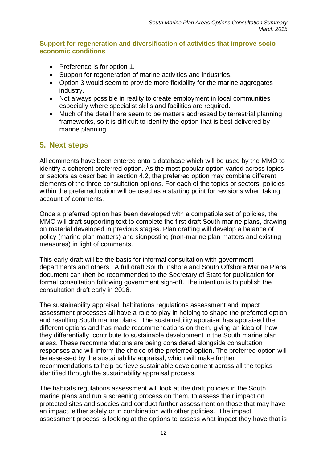#### <span id="page-11-0"></span>**Support for regeneration and diversification of activities that improve socioeconomic conditions**

- Preference is for option 1.
- Support for regeneration of marine activities and industries.
- Option 3 would seem to provide more flexibility for the marine aggregates industry.
- Not always possible in reality to create employment in local communities especially where specialist skills and facilities are required.
- Much of the detail here seem to be matters addressed by terrestrial planning frameworks, so it is difficult to identify the option that is best delivered by marine planning.

## **5. Next steps**

All comments have been entered onto a database which will be used by the MMO to identify a coherent preferred option. As the most popular option varied across topics or sectors as described in section 4.2, the preferred option may combine different elements of the three consultation options. For each of the topics or sectors, policies within the preferred option will be used as a starting point for revisions when taking account of comments.

Once a preferred option has been developed with a compatible set of policies, the MMO will draft supporting text to complete the first draft South marine plans, drawing on material developed in previous stages. Plan drafting will develop a balance of policy (marine plan matters) and signposting (non-marine plan matters and existing measures) in light of comments.

This early draft will be the basis for informal consultation with government departments and others. A full draft South Inshore and South Offshore Marine Plans document can then be recommended to the Secretary of State for publication for formal consultation following government sign-off. The intention is to publish the consultation draft early in 2016.

The sustainability appraisal, habitations regulations assessment and impact assessment processes all have a role to play in helping to shape the preferred option and resulting South marine plans. The sustainability appraisal has appraised the different options and has made recommendations on them, giving an idea of how they differentially contribute to sustainable development in the South marine plan areas. These recommendations are being considered alongside consultation responses and will inform the choice of the preferred option. The preferred option will be assessed by the sustainability appraisal, which will make further recommendations to help achieve sustainable development across all the topics identified through the sustainability appraisal process.

The habitats regulations assessment will look at the draft policies in the South marine plans and run a screening process on them, to assess their impact on protected sites and species and conduct further assessment on those that may have an impact, either solely or in combination with other policies. The impact assessment process is looking at the options to assess what impact they have that is